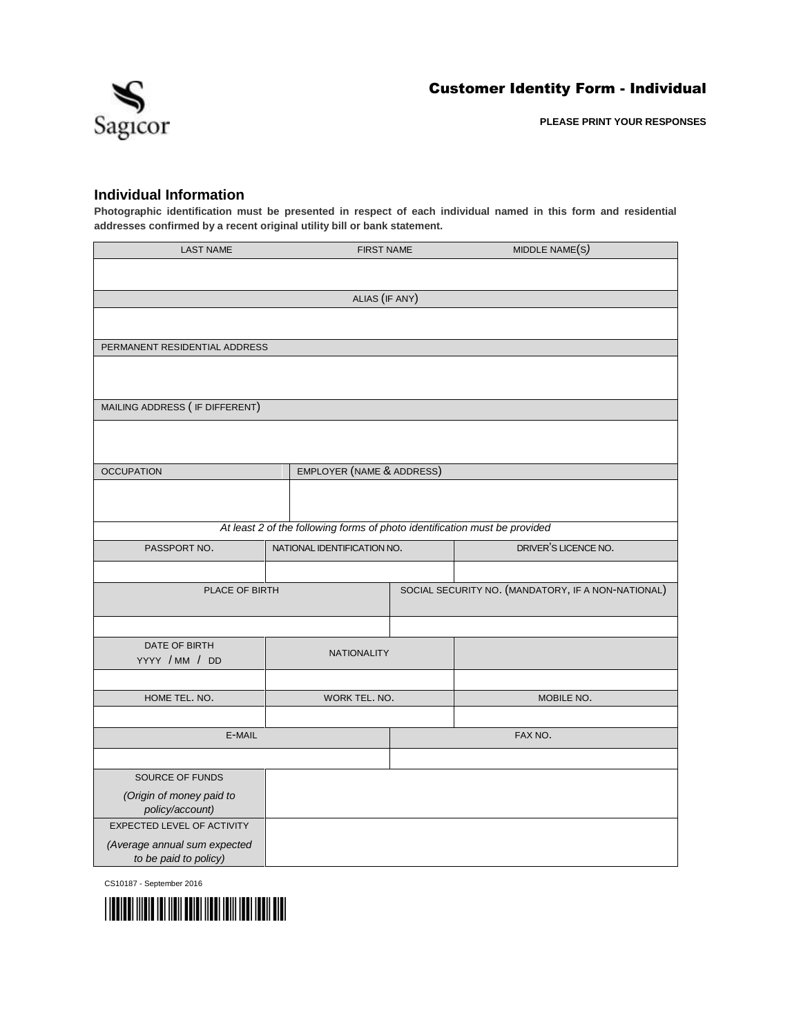

## **Individual Information**

**Photographic identification must be presented in respect of each individual named in this form and residential addresses confirmed by a recent original utility bill or bank statement.**

| <b>LAST NAME</b><br><b>FIRST NAME</b>                 |                                                                            |  | MIDDLE NAME(S)                                     |
|-------------------------------------------------------|----------------------------------------------------------------------------|--|----------------------------------------------------|
|                                                       |                                                                            |  |                                                    |
|                                                       | ALIAS (IF ANY)                                                             |  |                                                    |
|                                                       |                                                                            |  |                                                    |
| PERMANENT RESIDENTIAL ADDRESS                         |                                                                            |  |                                                    |
|                                                       |                                                                            |  |                                                    |
| MAILING ADDRESS ( IF DIFFERENT)                       |                                                                            |  |                                                    |
|                                                       |                                                                            |  |                                                    |
| <b>OCCUPATION</b>                                     | EMPLOYER (NAME & ADDRESS)                                                  |  |                                                    |
|                                                       |                                                                            |  |                                                    |
|                                                       | At least 2 of the following forms of photo identification must be provided |  |                                                    |
| PASSPORT NO.                                          | NATIONAL IDENTIFICATION NO.                                                |  | DRIVER'S LICENCE NO.                               |
|                                                       |                                                                            |  |                                                    |
| PLACE OF BIRTH                                        |                                                                            |  | SOCIAL SECURITY NO. (MANDATORY, IF A NON-NATIONAL) |
|                                                       |                                                                            |  |                                                    |
| DATE OF BIRTH<br>YYYY / MM / DD                       | <b>NATIONALITY</b>                                                         |  |                                                    |
|                                                       |                                                                            |  |                                                    |
| HOME TEL. NO.                                         | WORK TEL. NO.                                                              |  | MOBILE NO.                                         |
|                                                       |                                                                            |  |                                                    |
| E-MAIL                                                |                                                                            |  | FAX NO.                                            |
|                                                       |                                                                            |  |                                                    |
| SOURCE OF FUNDS                                       |                                                                            |  |                                                    |
| (Origin of money paid to<br>policy/account)           |                                                                            |  |                                                    |
| <b>EXPECTED LEVEL OF ACTIVITY</b>                     |                                                                            |  |                                                    |
| (Average annual sum expected<br>to be paid to policy) |                                                                            |  |                                                    |

CS10187 - September 2016